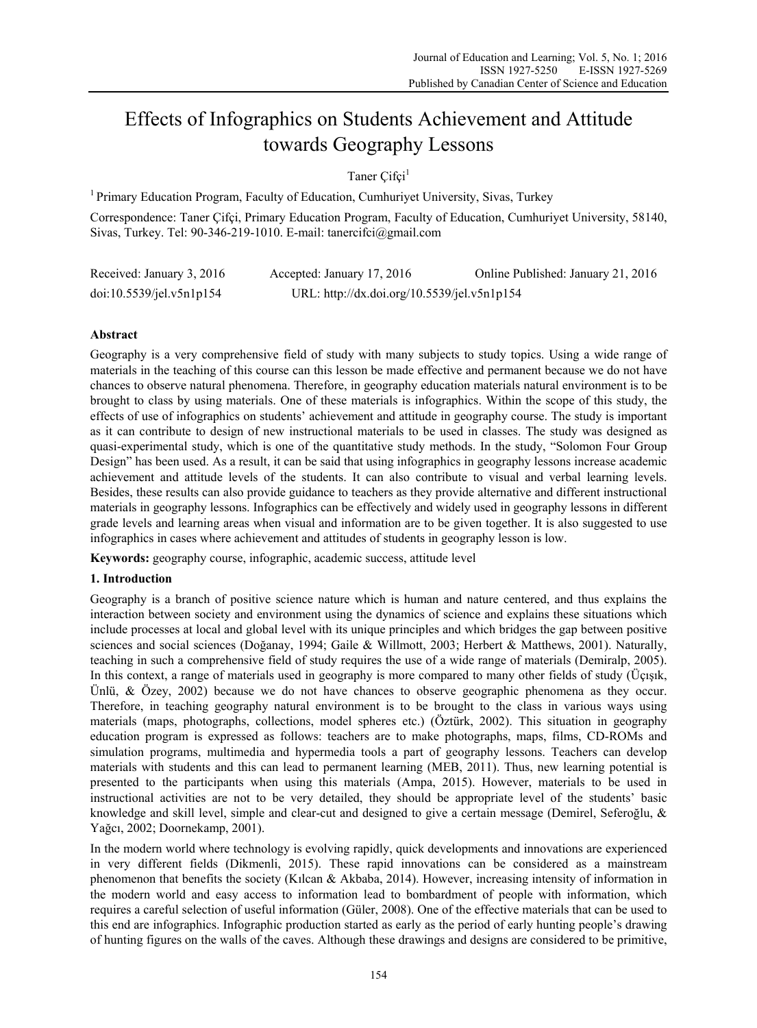# Effects of Infographics on Students Achievement and Attitude towards Geography Lessons

Taner Cifçi<sup>1</sup>

1 Primary Education Program, Faculty of Education, Cumhuriyet University, Sivas, Turkey

Correspondence: Taner Çifçi, Primary Education Program, Faculty of Education, Cumhuriyet University, 58140, Sivas, Turkey. Tel: 90-346-219-1010. E-mail: tanercifci@gmail.com

| Received: January 3, 2016 | Accepted: January 17, 2016                  | Online Published: January 21, 2016 |
|---------------------------|---------------------------------------------|------------------------------------|
| doi:10.5539/jel.v5n1p154  | URL: http://dx.doi.org/10.5539/jel.v5n1p154 |                                    |

# **Abstract**

Geography is a very comprehensive field of study with many subjects to study topics. Using a wide range of materials in the teaching of this course can this lesson be made effective and permanent because we do not have chances to observe natural phenomena. Therefore, in geography education materials natural environment is to be brought to class by using materials. One of these materials is infographics. Within the scope of this study, the effects of use of infographics on students' achievement and attitude in geography course. The study is important as it can contribute to design of new instructional materials to be used in classes. The study was designed as quasi-experimental study, which is one of the quantitative study methods. In the study, "Solomon Four Group Design" has been used. As a result, it can be said that using infographics in geography lessons increase academic achievement and attitude levels of the students. It can also contribute to visual and verbal learning levels. Besides, these results can also provide guidance to teachers as they provide alternative and different instructional materials in geography lessons. Infographics can be effectively and widely used in geography lessons in different grade levels and learning areas when visual and information are to be given together. It is also suggested to use infographics in cases where achievement and attitudes of students in geography lesson is low.

**Keywords:** geography course, infographic, academic success, attitude level

# **1. Introduction**

Geography is a branch of positive science nature which is human and nature centered, and thus explains the interaction between society and environment using the dynamics of science and explains these situations which include processes at local and global level with its unique principles and which bridges the gap between positive sciences and social sciences (Doğanay, 1994; Gaile & Willmott, 2003; Herbert & Matthews, 2001). Naturally, teaching in such a comprehensive field of study requires the use of a wide range of materials (Demiralp, 2005). In this context, a range of materials used in geography is more compared to many other fields of study (Üçışık, Ünlü, & Özey, 2002) because we do not have chances to observe geographic phenomena as they occur. Therefore, in teaching geography natural environment is to be brought to the class in various ways using materials (maps, photographs, collections, model spheres etc.) (Öztürk, 2002). This situation in geography education program is expressed as follows: teachers are to make photographs, maps, films, CD-ROMs and simulation programs, multimedia and hypermedia tools a part of geography lessons. Teachers can develop materials with students and this can lead to permanent learning (MEB, 2011). Thus, new learning potential is presented to the participants when using this materials (Ampa, 2015). However, materials to be used in instructional activities are not to be very detailed, they should be appropriate level of the students' basic knowledge and skill level, simple and clear-cut and designed to give a certain message (Demirel, Seferoğlu, & Yağcı, 2002; Doornekamp, 2001).

In the modern world where technology is evolving rapidly, quick developments and innovations are experienced in very different fields (Dikmenli, 2015). These rapid innovations can be considered as a mainstream phenomenon that benefits the society (Kılcan & Akbaba, 2014). However, increasing intensity of information in the modern world and easy access to information lead to bombardment of people with information, which requires a careful selection of useful information (Güler, 2008). One of the effective materials that can be used to this end are infographics. Infographic production started as early as the period of early hunting people's drawing of hunting figures on the walls of the caves. Although these drawings and designs are considered to be primitive,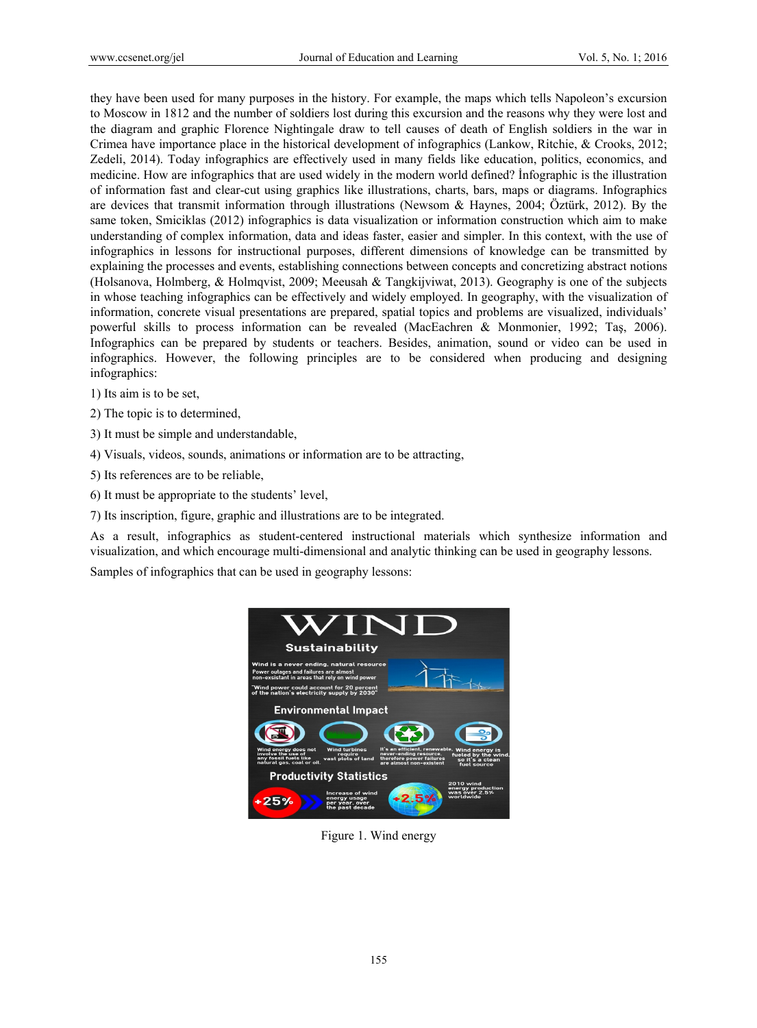they have been used for many purposes in the history. For example, the maps which tells Napoleon's excursion to Moscow in 1812 and the number of soldiers lost during this excursion and the reasons why they were lost and the diagram and graphic Florence Nightingale draw to tell causes of death of English soldiers in the war in Crimea have importance place in the historical development of infographics (Lankow, Ritchie, & Crooks, 2012; Zedeli, 2014). Today infographics are effectively used in many fields like education, politics, economics, and medicine. How are infographics that are used widely in the modern world defined? İnfographic is the illustration of information fast and clear-cut using graphics like illustrations, charts, bars, maps or diagrams. Infographics are devices that transmit information through illustrations (Newsom & Haynes, 2004; Öztürk, 2012). By the same token, Smiciklas (2012) infographics is data visualization or information construction which aim to make understanding of complex information, data and ideas faster, easier and simpler. In this context, with the use of infographics in lessons for instructional purposes, different dimensions of knowledge can be transmitted by explaining the processes and events, establishing connections between concepts and concretizing abstract notions (Holsanova, Holmberg, & Holmqvist, 2009; Meeusah & Tangkijviwat, 2013). Geography is one of the subjects in whose teaching infographics can be effectively and widely employed. In geography, with the visualization of information, concrete visual presentations are prepared, spatial topics and problems are visualized, individuals' powerful skills to process information can be revealed (MacEachren & Monmonier, 1992; Taş, 2006). Infographics can be prepared by students or teachers. Besides, animation, sound or video can be used in infographics. However, the following principles are to be considered when producing and designing infographics:

- 1) Its aim is to be set,
- 2) The topic is to determined,
- 3) It must be simple and understandable,
- 4) Visuals, videos, sounds, animations or information are to be attracting,
- 5) Its references are to be reliable,
- 6) It must be appropriate to the students' level,
- 7) Its inscription, figure, graphic and illustrations are to be integrated.

As a result, infographics as student-centered instructional materials which synthesize information and visualization, and which encourage multi-dimensional and analytic thinking can be used in geography lessons.

Samples of infographics that can be used in geography lessons:



Figure 1. Wind energy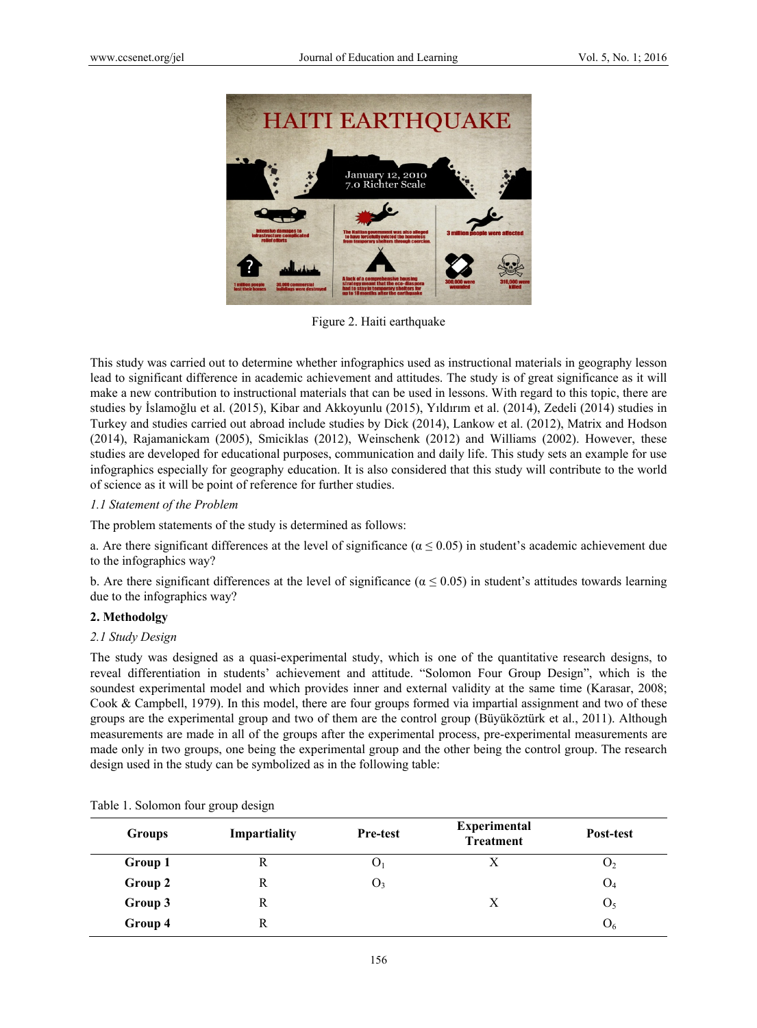

Figure 2. Haiti earthquake

This study was carried out to determine whether infographics used as instructional materials in geography lesson lead to significant difference in academic achievement and attitudes. The study is of great significance as it will make a new contribution to instructional materials that can be used in lessons. With regard to this topic, there are studies by İslamoğlu et al. (2015), Kibar and Akkoyunlu (2015), Yıldırım et al. (2014), Zedeli (2014) studies in Turkey and studies carried out abroad include studies by Dick (2014), Lankow et al. (2012), Matrix and Hodson (2014), Rajamanickam (2005), Smiciklas (2012), Weinschenk (2012) and Williams (2002). However, these studies are developed for educational purposes, communication and daily life. This study sets an example for use infographics especially for geography education. It is also considered that this study will contribute to the world of science as it will be point of reference for further studies.

*1.1 Statement of the Problem* 

The problem statements of the study is determined as follows:

a. Are there significant differences at the level of significance ( $\alpha \le 0.05$ ) in student's academic achievement due to the infographics way?

b. Are there significant differences at the level of significance ( $\alpha \le 0.05$ ) in student's attitudes towards learning due to the infographics way?

# **2. Methodolgy**

### *2.1 Study Design*

The study was designed as a quasi-experimental study, which is one of the quantitative research designs, to reveal differentiation in students' achievement and attitude. "Solomon Four Group Design", which is the soundest experimental model and which provides inner and external validity at the same time (Karasar, 2008; Cook & Campbell, 1979). In this model, there are four groups formed via impartial assignment and two of these groups are the experimental group and two of them are the control group (Büyüköztürk et al., 2011). Although measurements are made in all of the groups after the experimental process, pre-experimental measurements are made only in two groups, one being the experimental group and the other being the control group. The research design used in the study can be symbolized as in the following table:

| <b>Groups</b> | <b>Impartiality</b> | <b>Pre-test</b> | <b>Experimental</b><br><b>Treatment</b> | Post-test    |
|---------------|---------------------|-----------------|-----------------------------------------|--------------|
| Group 1       | R                   | U               | Χ                                       | U2           |
| Group 2       | R                   | O <sub>3</sub>  |                                         | $O_4$        |
| Group 3       | R                   |                 | Х                                       | $O_5$        |
| Group 4       | R                   |                 |                                         | $O_{\theta}$ |

Table 1. Solomon four group design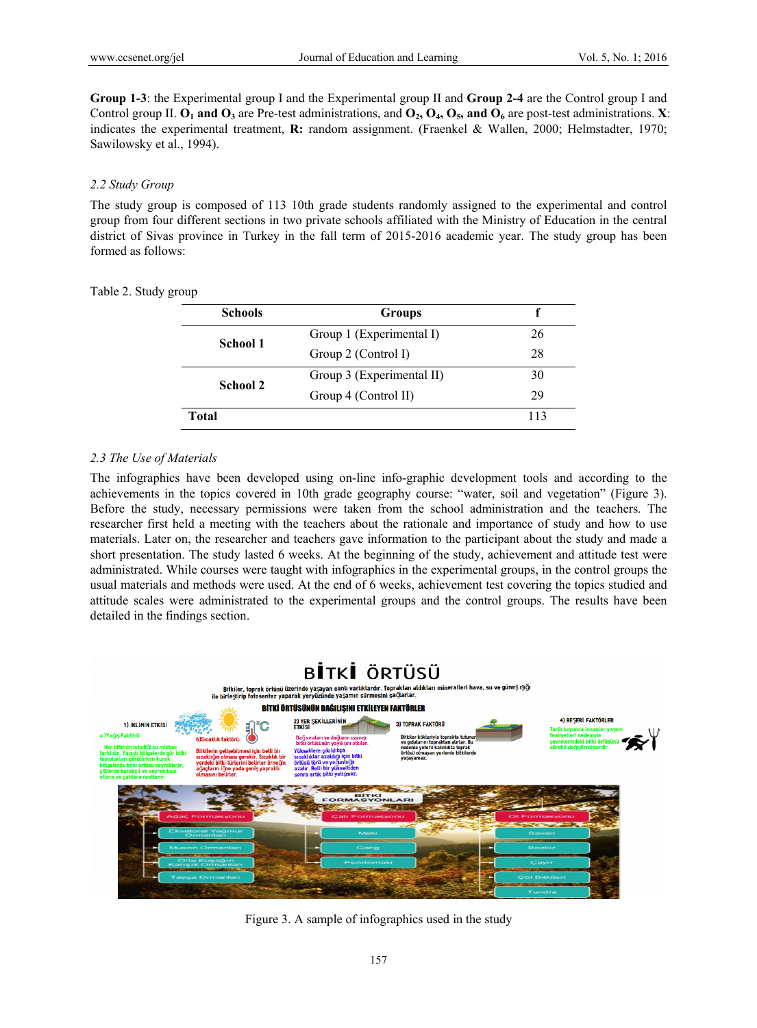**Group 1-3**: the Experimental group I and the Experimental group II and **Group 2-4** are the Control group I and Control group II.  $O_1$  and  $O_3$  are Pre-test administrations, and  $O_2$ ,  $O_4$ ,  $O_5$ , and  $O_6$  are post-test administrations. **X**: indicates the experimental treatment, **R:** random assignment. (Fraenkel & Wallen, 2000; Helmstadter, 1970; Sawilowsky et al., 1994).

### *2.2 Study Group*

The study group is composed of 113 10th grade students randomly assigned to the experimental and control group from four different sections in two private schools affiliated with the Ministry of Education in the central district of Sivas province in Turkey in the fall term of 2015-2016 academic year. The study group has been formed as follows:

| <b>Schools</b>  | Groups                    |     |
|-----------------|---------------------------|-----|
|                 | Group 1 (Experimental I)  | 26  |
| <b>School 1</b> | Group 2 (Control I)       | 28  |
| School 2        | Group 3 (Experimental II) | 30  |
|                 | Group 4 (Control II)      | 29  |
| Total           |                           | 113 |

Table 2. Study group

### *2.3 The Use of Materials*

The infographics have been developed using on-line info-graphic development tools and according to the achievements in the topics covered in 10th grade geography course: "water, soil and vegetation" (Figure 3). Before the study, necessary permissions were taken from the school administration and the teachers. The researcher first held a meeting with the teachers about the rationale and importance of study and how to use materials. Later on, the researcher and teachers gave information to the participant about the study and made a short presentation. The study lasted 6 weeks. At the beginning of the study, achievement and attitude test were administrated. While courses were taught with infographics in the experimental groups, in the control groups the usual materials and methods were used. At the end of 6 weeks, achievement test covering the topics studied and attitude scales were administrated to the experimental groups and the control groups. The results have been detailed in the findings section.



Figure 3. A sample of infographics used in the study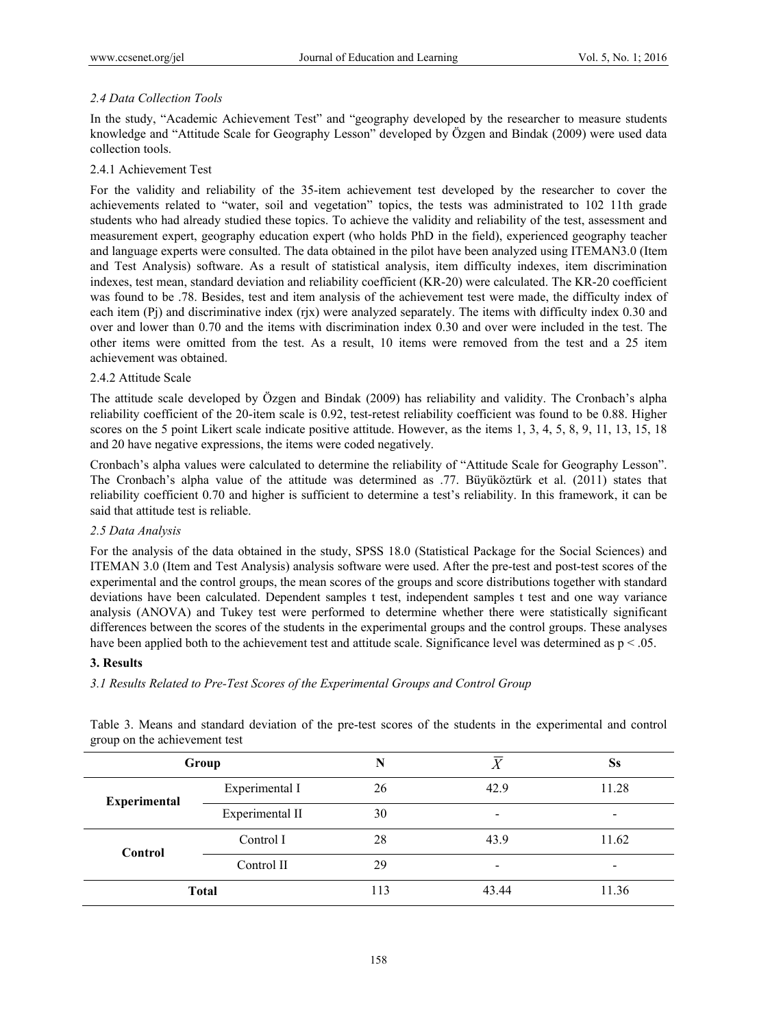# *2.4 Data Collection Tools*

In the study, "Academic Achievement Test" and "geography developed by the researcher to measure students knowledge and "Attitude Scale for Geography Lesson" developed by Özgen and Bindak (2009) were used data collection tools.

# 2.4.1 Achievement Test

For the validity and reliability of the 35-item achievement test developed by the researcher to cover the achievements related to "water, soil and vegetation" topics, the tests was administrated to 102 11th grade students who had already studied these topics. To achieve the validity and reliability of the test, assessment and measurement expert, geography education expert (who holds PhD in the field), experienced geography teacher and language experts were consulted. The data obtained in the pilot have been analyzed using ITEMAN3.0 (Item and Test Analysis) software. As a result of statistical analysis, item difficulty indexes, item discrimination indexes, test mean, standard deviation and reliability coefficient (KR-20) were calculated. The KR-20 coefficient was found to be .78. Besides, test and item analysis of the achievement test were made, the difficulty index of each item (Pj) and discriminative index (rjx) were analyzed separately. The items with difficulty index 0.30 and over and lower than 0.70 and the items with discrimination index 0.30 and over were included in the test. The other items were omitted from the test. As a result, 10 items were removed from the test and a 25 item achievement was obtained.

# 2.4.2 Attitude Scale

The attitude scale developed by Özgen and Bindak (2009) has reliability and validity. The Cronbach's alpha reliability coefficient of the 20-item scale is 0.92, test-retest reliability coefficient was found to be 0.88. Higher scores on the 5 point Likert scale indicate positive attitude. However, as the items 1, 3, 4, 5, 8, 9, 11, 13, 15, 18 and 20 have negative expressions, the items were coded negatively.

Cronbach's alpha values were calculated to determine the reliability of "Attitude Scale for Geography Lesson". The Cronbach's alpha value of the attitude was determined as .77. Büyüköztürk et al. (2011) states that reliability coefficient 0.70 and higher is sufficient to determine a test's reliability. In this framework, it can be said that attitude test is reliable.

### *2.5 Data Analysis*

For the analysis of the data obtained in the study, SPSS 18.0 (Statistical Package for the Social Sciences) and ITEMAN 3.0 (Item and Test Analysis) analysis software were used. After the pre-test and post-test scores of the experimental and the control groups, the mean scores of the groups and score distributions together with standard deviations have been calculated. Dependent samples t test, independent samples t test and one way variance analysis (ANOVA) and Tukey test were performed to determine whether there were statistically significant differences between the scores of the students in the experimental groups and the control groups. These analyses have been applied both to the achievement test and attitude scale. Significance level was determined as  $p < .05$ .

### **3. Results**

*3.1 Results Related to Pre-Test Scores of the Experimental Groups and Control Group* 

| group on the achievement test |                 |     |                          |                |  |  |  |  |
|-------------------------------|-----------------|-----|--------------------------|----------------|--|--|--|--|
|                               | Group           | N   | $\overline{X}$           | <b>Ss</b>      |  |  |  |  |
| <b>Experimental</b>           | Experimental I  | 26  | 42.9                     | 11.28          |  |  |  |  |
|                               | Experimental II | 30  | $\overline{\phantom{a}}$ | $\blacksquare$ |  |  |  |  |
| Control                       | Control I       | 28  | 43.9                     | 11.62          |  |  |  |  |
|                               | Control II      | 29  | $\overline{\phantom{a}}$ | $\blacksquare$ |  |  |  |  |
| <b>Total</b>                  |                 | 113 | 43.44                    | 11.36          |  |  |  |  |

Table 3. Means and standard deviation of the pre-test scores of the students in the experimental and control group on the achievement t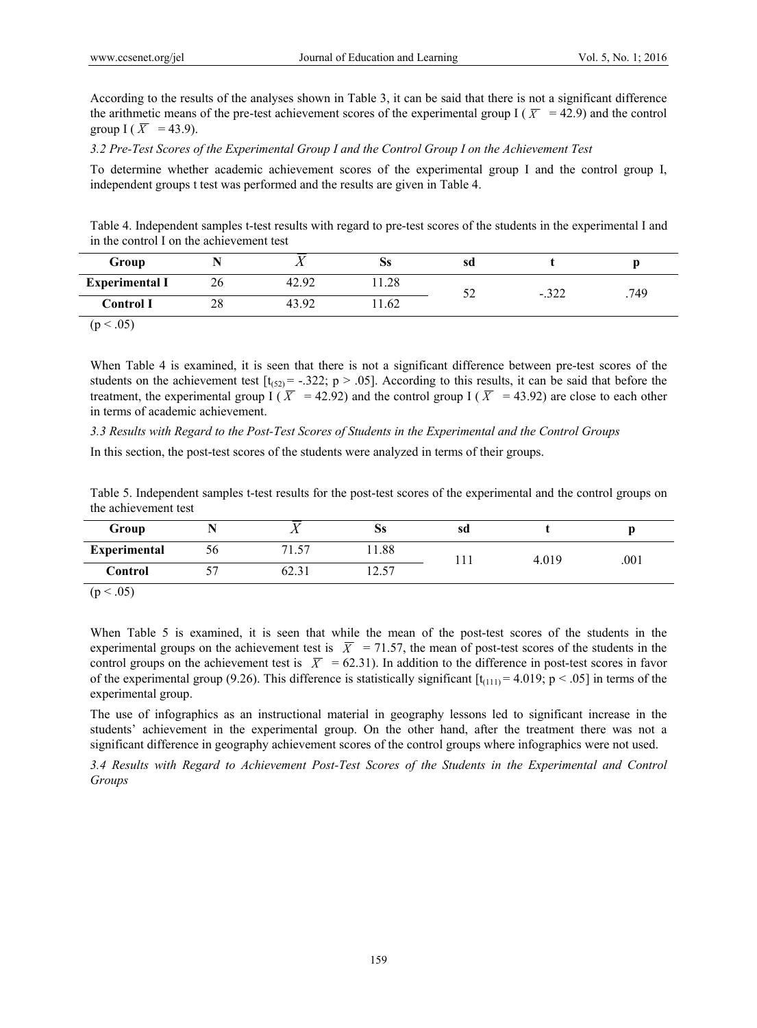According to the results of the analyses shown in Table 3, it can be said that there is not a significant difference the arithmetic means of the pre-test achievement scores of the experimental group I ( $\overline{X}$  = 42.9) and the control group  $I(\bar{X}) = 43.9$ .

*3.2 Pre-Test Scores of the Experimental Group I and the Control Group I on the Achievement Test* 

To determine whether academic achievement scores of the experimental group I and the control group I, independent groups t test was performed and the results are given in Table 4.

Table 4. Independent samples t-test results with regard to pre-test scores of the students in the experimental I and in the control I on the achievement test

| Group                 |            |       | SS.   | sd  |        |      |
|-----------------------|------------|-------|-------|-----|--------|------|
| <b>Experimental I</b> | $\angle 6$ | 42.92 | .1.28 |     | $-322$ | .749 |
| <b>Control I</b>      | c<br>28    | 43.92 | 1.62  | ے ر |        |      |

 $(p < .05)$ 

When Table 4 is examined, it is seen that there is not a significant difference between pre-test scores of the students on the achievement test  $[t_{(52)} = -.322; p > .05]$ . According to this results, it can be said that before the treatment, the experimental group  $\overline{I}(\overline{X}) = 42.92$ ) and the control group  $\overline{I}(\overline{X}) = 43.92$ ) are close to each other in terms of academic achievement.

*3.3 Results with Regard to the Post-Test Scores of Students in the Experimental and the Control Groups* 

In this section, the post-test scores of the students were analyzed in terms of their groups.

Table 5. Independent samples t-test results for the post-test scores of the experimental and the control groups on the achievement test

| Group               |                          | ∡⊾    | $\mathbf{S}$ | sd    |       |      |
|---------------------|--------------------------|-------|--------------|-------|-------|------|
| <b>Experimental</b> | 56                       | 71.57 | 1.88         | 1 1 1 | 4.019 | .001 |
| Control             | $\overline{\phantom{a}}$ | 62.31 | 12.57        |       |       |      |
| .05<br>(p<          |                          |       |              |       |       |      |

When Table 5 is examined, it is seen that while the mean of the post-test scores of the students in the experimental groups on the achievement test is  $\overline{X}$  = 71.57, the mean of post-test scores of the students in the control groups on the achievement test is  $\overline{X}$  = 62.31). In addition to the difference in post-test scores in favor of the experimental group (9.26). This difference is statistically significant  $[t_{(111)} = 4.019; p < .05]$  in terms of the experimental group.

The use of infographics as an instructional material in geography lessons led to significant increase in the students' achievement in the experimental group. On the other hand, after the treatment there was not a significant difference in geography achievement scores of the control groups where infographics were not used.

*3.4 Results with Regard to Achievement Post-Test Scores of the Students in the Experimental and Control Groups*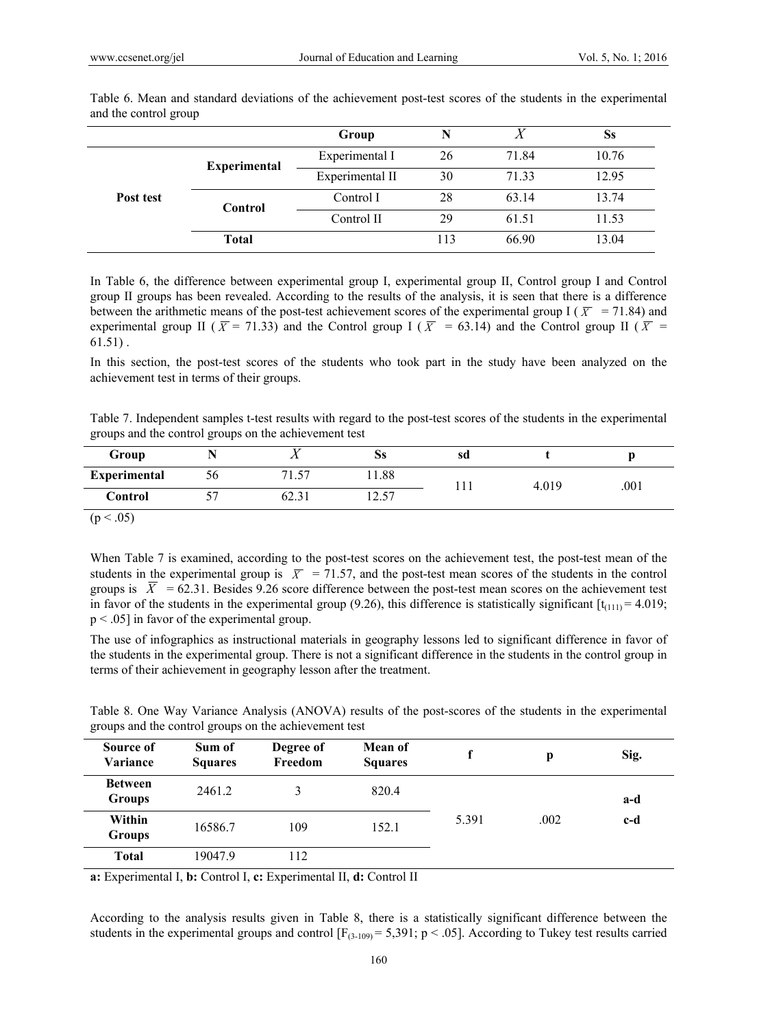|           |                     | Group           | N   | $\it X$ | <b>Ss</b> |
|-----------|---------------------|-----------------|-----|---------|-----------|
| Post test | <b>Experimental</b> | Experimental I  | 26  | 71.84   | 10.76     |
|           |                     | Experimental II | 30  | 71.33   | 12.95     |
|           | Control             | Control I       | 28  | 63.14   | 13.74     |
|           |                     | Control II      | 29  | 61.51   | 11.53     |
|           | Total               |                 | 113 | 66.90   | 13.04     |

Table 6. Mean and standard deviations of the achievement post-test scores of the students in the experimental and the control group

In Table 6, the difference between experimental group I, experimental group II, Control group I and Control group II groups has been revealed. According to the results of the analysis, it is seen that there is a difference between the arithmetic means of the post-test achievement scores of the experimental group I ( $\overline{X}$  = 71.84) and experimental group II ( $\overline{X}$  = 71.33) and the Control group I ( $\overline{X}$  = 63.14) and the Control group II ( $\overline{X}$  = 61.51) .

In this section, the post-test scores of the students who took part in the study have been analyzed on the achievement test in terms of their groups.

Table 7. Independent samples t-test results with regard to the post-test scores of the students in the experimental groups and the control groups on the achievement test

| Group               |     |       | SS            | sd    |       |      |
|---------------------|-----|-------|---------------|-------|-------|------|
| <b>Experimental</b> | 56  | 71.57 | 1.88          |       | 4.019 | .001 |
| Control             | - - | 62.31 | 1957<br>ں ۔ 1 | 1 1 1 |       |      |
| (1, 0.0)            |     |       |               |       |       |      |

 $(p < .05)$ 

When Table 7 is examined, according to the post-test scores on the achievement test, the post-test mean of the students in the experimental group is  $\overline{X}$  = 71.57, and the post-test mean scores of the students in the control groups is  $\overline{X}$  = 62.31. Besides 9.26 score difference between the post-test mean scores on the achievement test in favor of the students in the experimental group (9.26), this difference is statistically significant  $[t_{(111)} = 4.019;$ p < .05] in favor of the experimental group.

The use of infographics as instructional materials in geography lessons led to significant difference in favor of the students in the experimental group. There is not a significant difference in the students in the control group in terms of their achievement in geography lesson after the treatment.

Table 8. One Way Variance Analysis (ANOVA) results of the post-scores of the students in the experimental groups and the control groups on the achievement test

| Source of<br>Variance           | Sum of<br><b>Squares</b> | Degree of<br>Freedom | <b>Mean of</b><br><b>Squares</b> |       | D    | Sig.  |
|---------------------------------|--------------------------|----------------------|----------------------------------|-------|------|-------|
| <b>Between</b><br><b>Groups</b> | 2461.2                   |                      | 820.4                            |       |      | a-d   |
| Within<br><b>Groups</b>         | 16586.7                  | 109                  | 152.1                            | 5.391 | .002 | $c-d$ |
| <b>Total</b>                    | 19047.9                  | 112                  |                                  |       |      |       |

**a:** Experimental I, **b:** Control I, **c:** Experimental II, **d:** Control II

According to the analysis results given in Table 8, there is a statistically significant difference between the students in the experimental groups and control  $[F_{(3-109)} = 5,391; p < .05]$ . According to Tukey test results carried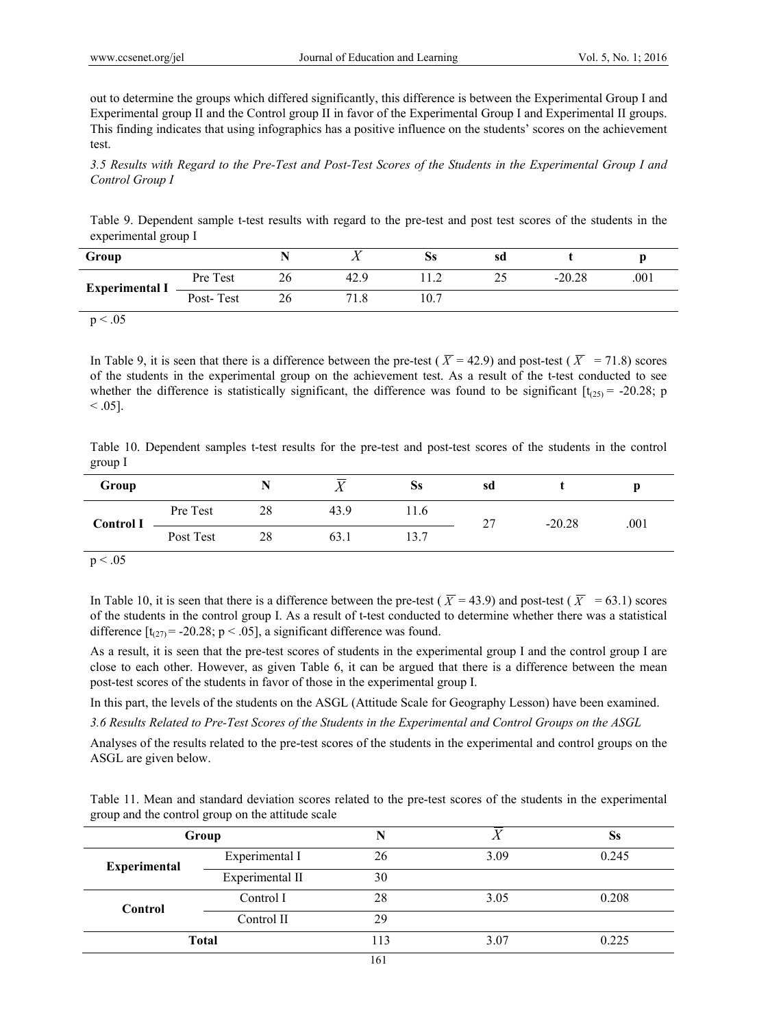out to determine the groups which differed significantly, this difference is between the Experimental Group I and Experimental group II and the Control group II in favor of the Experimental Group I and Experimental II groups. This finding indicates that using infographics has a positive influence on the students' scores on the achievement test.

*3.5 Results with Regard to the Pre-Test and Post-Test Scores of the Students in the Experimental Group I and Control Group I* 

Table 9. Dependent sample t-test results with regard to the pre-test and post test scores of the students in the experimental group I

| Group                 |           |    | $\overline{\phantom{a}}$ | SS.  | sd |          |      |
|-----------------------|-----------|----|--------------------------|------|----|----------|------|
| <b>Experimental I</b> | Pre Test  | 26 | 42.9                     | .    | ت  | $-20.28$ | .001 |
|                       | Post-Test | 26 |                          | 10.7 |    |          |      |

 $p < .05$ 

In Table 9, it is seen that there is a difference between the pre-test ( $\overline{X}$  = 42.9) and post-test ( $\overline{X}$  = 71.8) scores of the students in the experimental group on the achievement test. As a result of the t-test conducted to see whether the difference is statistically significant, the difference was found to be significant  $[t_{(25)} = -20.28;$  p  $< 0.05$ ].

Table 10. Dependent samples t-test results for the pre-test and post-test scores of the students in the control group I

| Group            |           |    |      | $\mathbf{S}$ | sd                   |          |      |
|------------------|-----------|----|------|--------------|----------------------|----------|------|
| <b>Control I</b> | Pre Test  | 28 | 43.9 | 11.6         | n J<br>$\mathcal{L}$ | $-20.28$ | .001 |
|                  | Post Test | 28 | 63.1 | 13.7         |                      |          |      |

 $p < .05$ 

In Table 10, it is seen that there is a difference between the pre-test ( $\overline{X}$  = 43.9) and post-test ( $\overline{X}$  = 63.1) scores of the students in the control group I. As a result of t-test conducted to determine whether there was a statistical difference  $[t_{(27)} = -20.28; p < .05]$ , a significant difference was found.

As a result, it is seen that the pre-test scores of students in the experimental group I and the control group I are close to each other. However, as given Table 6, it can be argued that there is a difference between the mean post-test scores of the students in favor of those in the experimental group I.

In this part, the levels of the students on the ASGL (Attitude Scale for Geography Lesson) have been examined.

*3.6 Results Related to Pre-Test Scores of the Students in the Experimental and Control Groups on the ASGL* 

Analyses of the results related to the pre-test scores of the students in the experimental and control groups on the ASGL are given below.

| Table 11. Mean and standard deviation scores related to the pre-test scores of the students in the experimental |  |  |
|-----------------------------------------------------------------------------------------------------------------|--|--|
| group and the control group on the attitude scale                                                               |  |  |

| Group               |                 | N                    |      | Ss    |
|---------------------|-----------------|----------------------|------|-------|
| <b>Experimental</b> | Experimental I  | 26                   | 3.09 | 0.245 |
|                     | Experimental II | 30                   |      |       |
| Control             | Control I       | 28                   | 3.05 | 0.208 |
|                     | Control II      | 29                   |      |       |
| <b>Total</b>        |                 | 113                  | 3.07 | 0.225 |
|                     |                 | $\sim$ $\sim$ $\sim$ |      |       |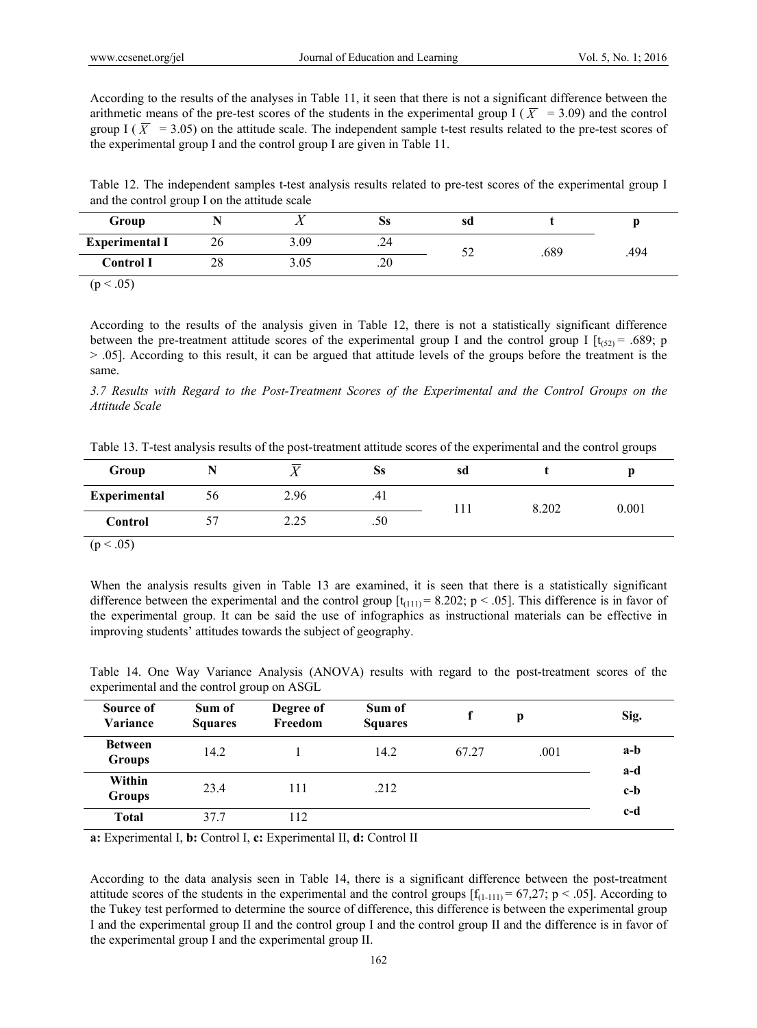According to the results of the analyses in Table 11, it seen that there is not a significant difference between the arithmetic means of the pre-test scores of the students in the experimental group I ( $\overline{X}$  = 3.09) and the control group I ( $\overline{X}$  = 3.05) on the attitude scale. The independent sample t-test results related to the pre-test scores of the experimental group I and the control group I are given in Table 11.

Table 12. The independent samples t-test analysis results related to pre-test scores of the experimental group I and the control group I on the attitude scale

| Group                 |            |      | Ss  | sd  |      |      |
|-----------------------|------------|------|-----|-----|------|------|
| <b>Experimental I</b> | $\angle 6$ | 3.09 | .24 |     | .689 | .494 |
| Control I             | 28         | 3.05 | .20 | ے ر |      |      |
| (n < 05)              |            |      |     |     |      |      |

 $(p < .05)$ 

According to the results of the analysis given in Table 12, there is not a statistically significant difference between the pre-treatment attitude scores of the experimental group I and the control group I  $[t_{(52)} = .689; p$ > .05]. According to this result, it can be argued that attitude levels of the groups before the treatment is the same.

*3.7 Results with Regard to the Post-Treatment Scores of the Experimental and the Control Groups on the Attitude Scale* 

Table 13. T-test analysis results of the post-treatment attitude scores of the experimental and the control groups

| Group               |    |      | $\mathbf{S}$ | sd  |       |       |
|---------------------|----|------|--------------|-----|-------|-------|
| <b>Experimental</b> | 56 | 2.96 | .41          | 111 | 8.202 | 0.001 |
| Control             |    | 2.25 | .50          |     |       |       |

 $(p < .05)$ 

When the analysis results given in Table 13 are examined, it is seen that there is a statistically significant difference between the experimental and the control group  $[t_{(111)} = 8.202; p < .05]$ . This difference is in favor of the experimental group. It can be said the use of infographics as instructional materials can be effective in improving students' attitudes towards the subject of geography.

Table 14. One Way Variance Analysis (ANOVA) results with regard to the post-treatment scores of the experimental and the control group on ASGL

| Source of<br>Variance           | Sum of<br><b>Squares</b> | Degree of<br>Freedom | Sum of<br><b>Squares</b> |       | p    | Sig.       |
|---------------------------------|--------------------------|----------------------|--------------------------|-------|------|------------|
| <b>Between</b><br><b>Groups</b> | 14.2                     |                      | 14.2                     | 67.27 | .001 | a-b<br>a-d |
| Within<br><b>Groups</b>         | 23.4                     | 111                  | .212                     |       |      | c-b        |
| Total                           | 37.7                     | 112                  |                          |       |      | c-d        |

**a:** Experimental I, **b:** Control I, **c:** Experimental II, **d:** Control II

According to the data analysis seen in Table 14, there is a significant difference between the post-treatment attitude scores of the students in the experimental and the control groups  $[f_{(1-111)} = 67,27; p < .05]$ . According to the Tukey test performed to determine the source of difference, this difference is between the experimental group I and the experimental group II and the control group I and the control group II and the difference is in favor of the experimental group I and the experimental group II.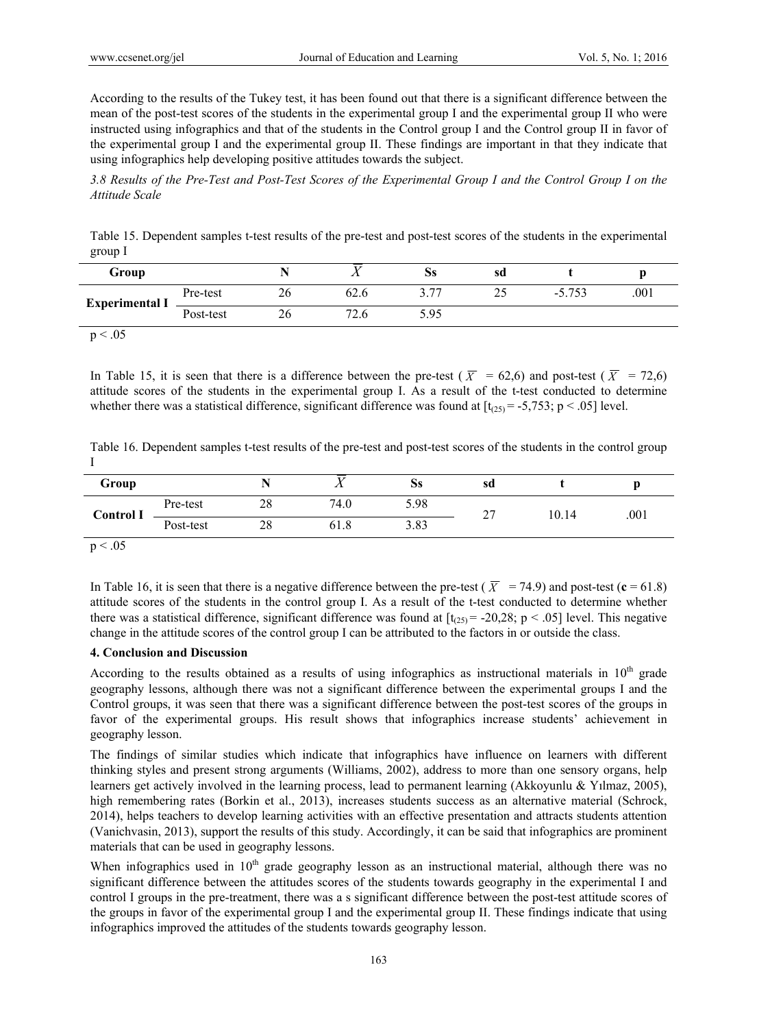According to the results of the Tukey test, it has been found out that there is a significant difference between the mean of the post-test scores of the students in the experimental group I and the experimental group II who were instructed using infographics and that of the students in the Control group I and the Control group II in favor of the experimental group I and the experimental group II. These findings are important in that they indicate that using infographics help developing positive attitudes towards the subject.

*3.8 Results of the Pre-Test and Post-Test Scores of the Experimental Group I and the Control Group I on the Attitude Scale* 

Table 15. Dependent samples t-test results of the pre-test and post-test scores of the students in the experimental group I

| Group                 |           |    | $\overline{\phantom{a}}$ | ðS.  | sd  |          |      |
|-----------------------|-----------|----|--------------------------|------|-----|----------|------|
| <b>Experimental I</b> | Pre-test  | 26 | 62.6                     | 2.77 | ت ک | $-5.753$ | .001 |
|                       | Post-test | 26 | 2.0                      | 5.95 |     |          |      |

 $p < .05$ 

In Table 15, it is seen that there is a difference between the pre-test ( $\overline{X}$  = 62,6) and post-test ( $\overline{X}$  = 72,6) attitude scores of the students in the experimental group I. As a result of the t-test conducted to determine whether there was a statistical difference, significant difference was found at  $[t_{(25)} = -5,753; p < .05]$  level.

Table 16. Dependent samples t-test results of the pre-test and post-test scores of the students in the control group I

| Group     |           | $\mathbf{H}$ | ∡⊾   | SS   | sd     |       |      |
|-----------|-----------|--------------|------|------|--------|-------|------|
| Control I | Pre-test  | 28           | 74.0 | 5.98 | $\sim$ | 10.14 | .001 |
|           | Post-test | 28           | 61.8 | 3.83 | ∼      |       |      |

 $p < .05$ 

In Table 16, it is seen that there is a negative difference between the pre-test ( $\overline{X}$  = 74.9) and post-test ( $\overline{c}$  = 61.8) attitude scores of the students in the control group I. As a result of the t-test conducted to determine whether there was a statistical difference, significant difference was found at  $[t_{(25)} = -20.28; p < .05]$  level. This negative change in the attitude scores of the control group I can be attributed to the factors in or outside the class.

#### **4. Conclusion and Discussion**

According to the results obtained as a results of using infographics as instructional materials in  $10<sup>th</sup>$  grade geography lessons, although there was not a significant difference between the experimental groups I and the Control groups, it was seen that there was a significant difference between the post-test scores of the groups in favor of the experimental groups. His result shows that infographics increase students' achievement in geography lesson.

The findings of similar studies which indicate that infographics have influence on learners with different thinking styles and present strong arguments (Williams, 2002), address to more than one sensory organs, help learners get actively involved in the learning process, lead to permanent learning (Akkoyunlu & Yılmaz, 2005), high remembering rates (Borkin et al., 2013), increases students success as an alternative material (Schrock, 2014), helps teachers to develop learning activities with an effective presentation and attracts students attention (Vanichvasin, 2013), support the results of this study. Accordingly, it can be said that infographics are prominent materials that can be used in geography lessons.

When infographics used in  $10<sup>th</sup>$  grade geography lesson as an instructional material, although there was no significant difference between the attitudes scores of the students towards geography in the experimental I and control I groups in the pre-treatment, there was a s significant difference between the post-test attitude scores of the groups in favor of the experimental group I and the experimental group II. These findings indicate that using infographics improved the attitudes of the students towards geography lesson.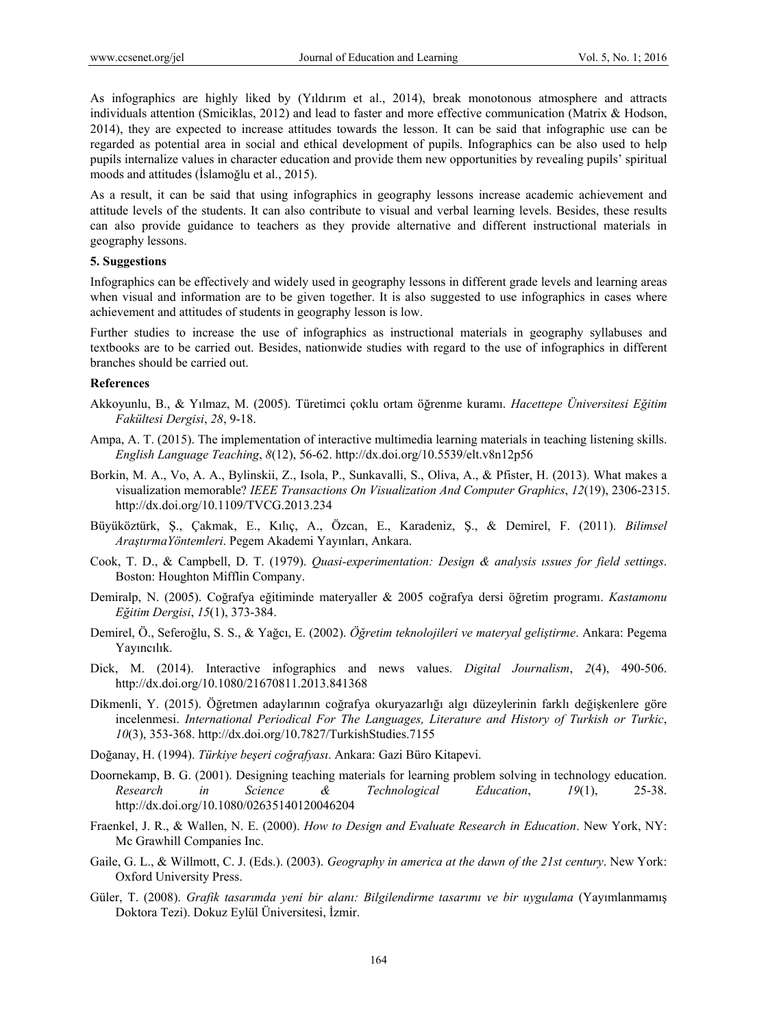As infographics are highly liked by (Yıldırım et al., 2014), break monotonous atmosphere and attracts individuals attention (Smiciklas, 2012) and lead to faster and more effective communication (Matrix & Hodson, 2014), they are expected to increase attitudes towards the lesson. It can be said that infographic use can be regarded as potential area in social and ethical development of pupils. Infographics can be also used to help pupils internalize values in character education and provide them new opportunities by revealing pupils' spiritual moods and attitudes (İslamoğlu et al., 2015).

As a result, it can be said that using infographics in geography lessons increase academic achievement and attitude levels of the students. It can also contribute to visual and verbal learning levels. Besides, these results can also provide guidance to teachers as they provide alternative and different instructional materials in geography lessons.

# **5. Suggestions**

Infographics can be effectively and widely used in geography lessons in different grade levels and learning areas when visual and information are to be given together. It is also suggested to use infographics in cases where achievement and attitudes of students in geography lesson is low.

Further studies to increase the use of infographics as instructional materials in geography syllabuses and textbooks are to be carried out. Besides, nationwide studies with regard to the use of infographics in different branches should be carried out.

#### **References**

- Akkoyunlu, B., & Yılmaz, M. (2005). Türetimci çoklu ortam öğrenme kuramı. *Hacettepe Üniversitesi Eğitim Fakültesi Dergisi*, *28*, 9-18.
- Ampa, A. T. (2015). The implementation of interactive multimedia learning materials in teaching listening skills. *English Language Teaching*, *8*(12), 56-62. http://dx.doi.org/10.5539/elt.v8n12p56
- Borkin, M. A., Vo, A. A., Bylinskii, Z., Isola, P., Sunkavalli, S., Oliva, A., & Pfister, H. (2013). What makes a visualization memorable? *IEEE Transactions On Visualization And Computer Graphics*, *12*(19), 2306-2315. http://dx.doi.org/10.1109/TVCG.2013.234
- Büyüköztürk, Ş., Çakmak, E., Kılıç, A., Özcan, E., Karadeniz, Ş., & Demirel, F. (2011). *Bilimsel AraştırmaYöntemleri*. Pegem Akademi Yayınları, Ankara.
- Cook, T. D., & Campbell, D. T. (1979). *Quasi-experimentation: Design & analysis ıssues for field settings*. Boston: Houghton Mifflin Company.
- Demiralp, N. (2005). Coğrafya eğitiminde materyaller & 2005 coğrafya dersi öğretim programı. *Kastamonu Eğitim Dergisi*, *15*(1), 373-384.
- Demirel, Ö., Seferoğlu, S. S., & Yağcı, E. (2002). *Öğretim teknolojileri ve materyal geliştirme*. Ankara: Pegema Yayıncılık.
- Dick, M. (2014). Interactive infographics and news values. *Digital Journalism*, *2*(4), 490-506. http://dx.doi.org/10.1080/21670811.2013.841368
- Dikmenli, Y. (2015). Öğretmen adaylarının coğrafya okuryazarlığı algı düzeylerinin farklı değişkenlere göre incelenmesi. *International Periodical For The Languages, Literature and History of Turkish or Turkic*, *10*(3), 353-368. http://dx.doi.org/10.7827/TurkishStudies.7155
- Doğanay, H. (1994). *Türkiye beşeri coğrafyası*. Ankara: Gazi Büro Kitapevi.
- Doornekamp, B. G. (2001). Designing teaching materials for learning problem solving in technology education. *Research in Science & Technological Education*, *19*(1), 25-38. http://dx.doi.org/10.1080/02635140120046204
- Fraenkel, J. R., & Wallen, N. E. (2000). *How to Design and Evaluate Research in Education*. New York, NY: Mc Grawhill Companies Inc.
- Gaile, G. L., & Willmott, C. J. (Eds.). (2003). *Geography in america at the dawn of the 21st century*. New York: Oxford University Press.
- Güler, T. (2008). *Grafik tasarımda yeni bir alanı: Bilgilendirme tasarımı ve bir uygulama* (Yayımlanmamış Doktora Tezi). Dokuz Eylül Üniversitesi, İzmir.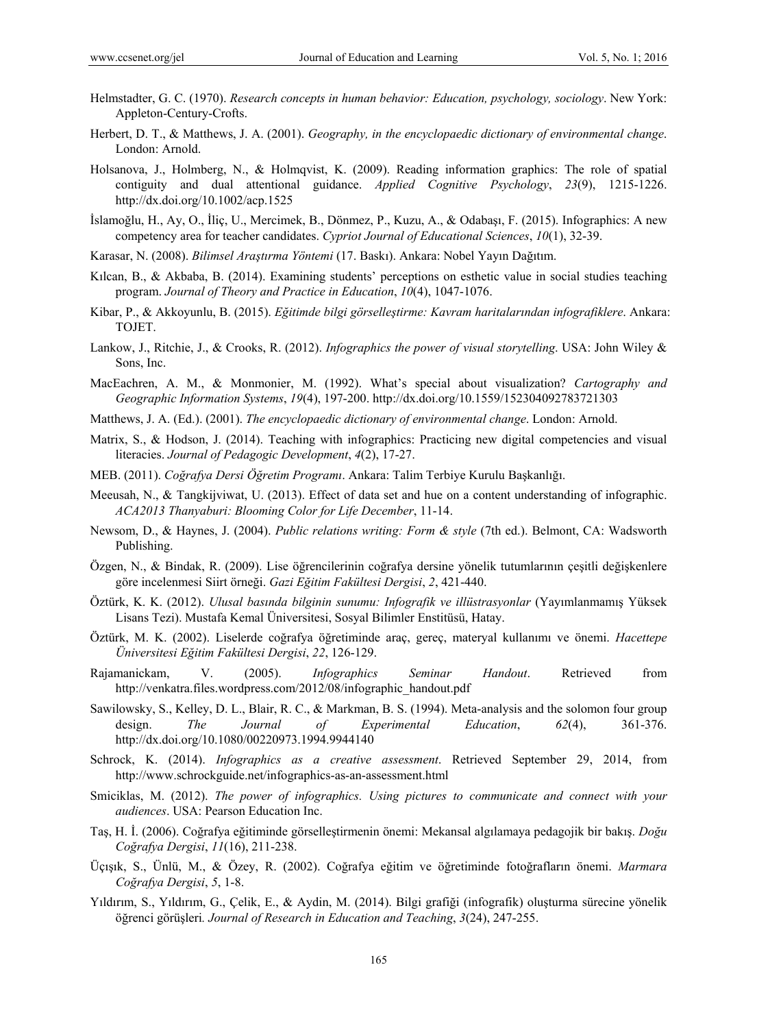- Helmstadter, G. C. (1970). *Research concepts in human behavior: Education, psychology, sociology*. New York: Appleton-Century-Crofts.
- Herbert, D. T., & Matthews, J. A. (2001). *Geography, in the encyclopaedic dictionary of environmental change*. London: Arnold.
- Holsanova, J., Holmberg, N., & Holmqvist, K. (2009). Reading information graphics: The role of spatial contiguity and dual attentional guidance. *Applied Cognitive Psychology*, *23*(9), 1215-1226. http://dx.doi.org/10.1002/acp.1525
- İslamoğlu, H., Ay, O., İliç, U., Mercimek, B., Dönmez, P., Kuzu, A., & Odabaşı, F. (2015). Infographics: A new competency area for teacher candidates. *Cypriot Journal of Educational Sciences*, *10*(1), 32-39.
- Karasar, N. (2008). *Bilimsel Araştırma Yöntemi* (17. Baskı). Ankara: Nobel Yayın Dağıtım.
- Kılcan, B., & Akbaba, B. (2014). Examining students' perceptions on esthetic value in social studies teaching program. *Journal of Theory and Practice in Education*, *10*(4), 1047-1076.
- Kibar, P., & Akkoyunlu, B. (2015). *Eğitimde bilgi görselleştirme: Kavram haritalarından infografiklere*. Ankara: TOJET.
- Lankow, J., Ritchie, J., & Crooks, R. (2012). *Infographics the power of visual storytelling*. USA: John Wiley & Sons, Inc.
- MacEachren, A. M., & Monmonier, M. (1992). What's special about visualization? *Cartography and Geographic Information Systems*, *19*(4), 197-200. http://dx.doi.org/10.1559/152304092783721303
- Matthews, J. A. (Ed.). (2001). *The encyclopaedic dictionary of environmental change*. London: Arnold.
- Matrix, S., & Hodson, J. (2014). Teaching with infographics: Practicing new digital competencies and visual literacies. *Journal of Pedagogic Development*, *4*(2), 17-27.
- MEB. (2011). *Coğrafya Dersi Öğretim Programı*. Ankara: Talim Terbiye Kurulu Başkanlığı.
- Meeusah, N., & Tangkijviwat, U. (2013). Effect of data set and hue on a content understanding of infographic. *ACA2013 Thanyaburi: Blooming Color for Life December*, 11-14.
- Newsom, D., & Haynes, J. (2004). *Public relations writing: Form & style* (7th ed.). Belmont, CA: Wadsworth Publishing.
- Özgen, N., & Bindak, R. (2009). Lise öğrencilerinin coğrafya dersine yönelik tutumlarının çeşitli değişkenlere göre incelenmesi Siirt örneği. *Gazi Eğitim Fakültesi Dergisi*, *2*, 421-440.
- Öztürk, K. K. (2012). *Ulusal basında bilginin sunumu: Infografik ve illüstrasyonlar* (Yayımlanmamış Yüksek Lisans Tezi). Mustafa Kemal Üniversitesi, Sosyal Bilimler Enstitüsü, Hatay.
- Öztürk, M. K. (2002). Liselerde coğrafya öğretiminde araç, gereç, materyal kullanımı ve önemi. *Hacettepe Üniversitesi Eğitim Fakültesi Dergisi*, *22*, 126-129.
- Rajamanickam, V. (2005). *Infographics Seminar Handout*. Retrieved from http://venkatra.files.wordpress.com/2012/08/infographic\_handout.pdf
- Sawilowsky, S., Kelley, D. L., Blair, R. C., & Markman, B. S. (1994). Meta-analysis and the solomon four group design. *The Journal of Experimental Education*, *62*(4), 361-376. http://dx.doi.org/10.1080/00220973.1994.9944140
- Schrock, K. (2014). *Infographics as a creative assessment*. Retrieved September 29, 2014, from http://www.schrockguide.net/infographics-as-an-assessment.html
- Smiciklas, M. (2012). *The power of infographics. Using pictures to communicate and connect with your audiences*. USA: Pearson Education Inc.
- Taş, H. İ. (2006). Coğrafya eğitiminde görselleştirmenin önemi: Mekansal algılamaya pedagojik bir bakış. *Doğu Coğrafya Dergisi*, *11*(16), 211-238.
- Üçışık, S., Ünlü, M., & Özey, R. (2002). Coğrafya eğitim ve öğretiminde fotoğrafların önemi. *Marmara Coğrafya Dergisi*, *5*, 1-8.
- Yıldırım, S., Yıldırım, G., Çelik, E., & Aydin, M. (2014). Bilgi grafiği (infografik) oluşturma sürecine yönelik öğrenci görüşleri*. Journal of Research in Education and Teaching*, *3*(24), 247-255.